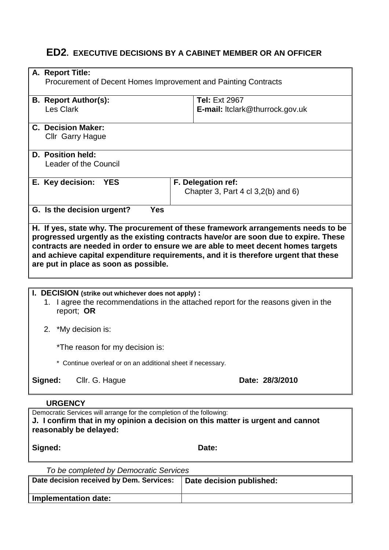# **ED2. EXECUTIVE DECISIONS BY A CABINET MEMBER OR AN OFFICER**

| A. Report Title:                                                                                         |                                                                                                                                                                         |  |  |  |
|----------------------------------------------------------------------------------------------------------|-------------------------------------------------------------------------------------------------------------------------------------------------------------------------|--|--|--|
| Procurement of Decent Homes Improvement and Painting Contracts                                           |                                                                                                                                                                         |  |  |  |
|                                                                                                          |                                                                                                                                                                         |  |  |  |
| <b>B. Report Author(s):</b><br>Les Clark                                                                 | <b>Tel: Ext 2967</b>                                                                                                                                                    |  |  |  |
|                                                                                                          | <b>E-mail:</b> Itclark@thurrock.gov.uk                                                                                                                                  |  |  |  |
| <b>C. Decision Maker:</b>                                                                                |                                                                                                                                                                         |  |  |  |
| Cllr Garry Hague                                                                                         |                                                                                                                                                                         |  |  |  |
| D. Position held:                                                                                        |                                                                                                                                                                         |  |  |  |
| Leader of the Council                                                                                    |                                                                                                                                                                         |  |  |  |
| E. Key decision: YES                                                                                     | F. Delegation ref:                                                                                                                                                      |  |  |  |
|                                                                                                          | Chapter 3, Part 4 cl $3,2(b)$ and 6)                                                                                                                                    |  |  |  |
| G. Is the decision urgent?<br><b>Yes</b>                                                                 |                                                                                                                                                                         |  |  |  |
|                                                                                                          |                                                                                                                                                                         |  |  |  |
|                                                                                                          | H. If yes, state why. The procurement of these framework arrangements needs to be                                                                                       |  |  |  |
|                                                                                                          | progressed urgently as the existing contracts have/or are soon due to expire. These<br>contracts are needed in order to ensure we are able to meet decent homes targets |  |  |  |
|                                                                                                          | and achieve capital expenditure requirements, and it is therefore urgent that these                                                                                     |  |  |  |
| are put in place as soon as possible.                                                                    |                                                                                                                                                                         |  |  |  |
|                                                                                                          |                                                                                                                                                                         |  |  |  |
|                                                                                                          |                                                                                                                                                                         |  |  |  |
| I. DECISION (strike out whichever does not apply):                                                       | 1. I agree the recommendations in the attached report for the reasons given in the                                                                                      |  |  |  |
| report; OR                                                                                               |                                                                                                                                                                         |  |  |  |
|                                                                                                          |                                                                                                                                                                         |  |  |  |
| 2. *My decision is:                                                                                      |                                                                                                                                                                         |  |  |  |
| *The reason for my decision is:                                                                          |                                                                                                                                                                         |  |  |  |
| * Continue overleaf or on an additional sheet if necessary.                                              |                                                                                                                                                                         |  |  |  |
| Signed:<br>Cllr. G. Hague                                                                                | Date: 28/3/2010                                                                                                                                                         |  |  |  |
|                                                                                                          |                                                                                                                                                                         |  |  |  |
| <b>URGENCY</b>                                                                                           |                                                                                                                                                                         |  |  |  |
| Democratic Services will arrange for the completion of the following:                                    |                                                                                                                                                                         |  |  |  |
| J. I confirm that in my opinion a decision on this matter is urgent and cannot<br>reasonably be delayed: |                                                                                                                                                                         |  |  |  |
|                                                                                                          |                                                                                                                                                                         |  |  |  |
| Signed:                                                                                                  | Date:                                                                                                                                                                   |  |  |  |

*To be completed by Democratic Services*

| Date decision received by Dem. Services: | Date decision published: |
|------------------------------------------|--------------------------|
| Implementation date:                     |                          |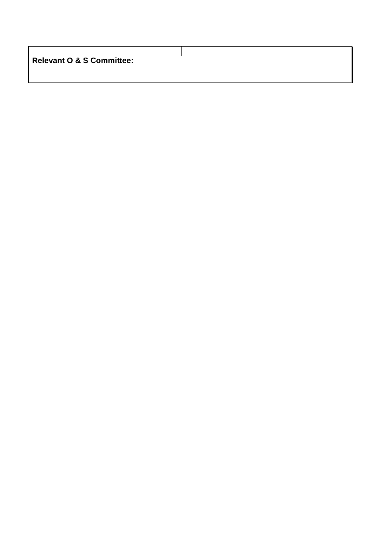| <b>Relevant O &amp; S Committee:</b> |  |
|--------------------------------------|--|
|                                      |  |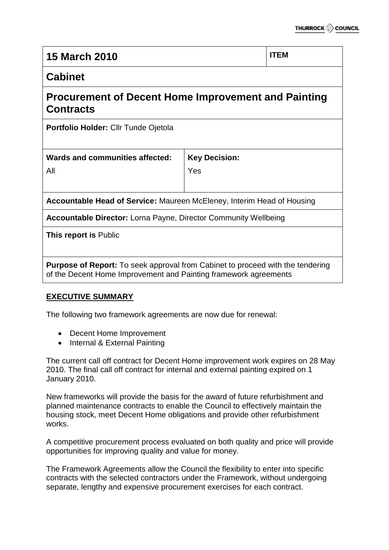| <b>15 March 2010</b>                                                                                                                                      |                             | <b>ITEM</b> |  |  |
|-----------------------------------------------------------------------------------------------------------------------------------------------------------|-----------------------------|-------------|--|--|
| <b>Cabinet</b>                                                                                                                                            |                             |             |  |  |
| Procurement of Decent Home Improvement and Painting<br><b>Contracts</b>                                                                                   |                             |             |  |  |
| Portfolio Holder: Cllr Tunde Ojetola                                                                                                                      |                             |             |  |  |
| Wards and communities affected:<br>All                                                                                                                    | <b>Key Decision:</b><br>Yes |             |  |  |
| <b>Accountable Head of Service: Maureen McEleney, Interim Head of Housing</b>                                                                             |                             |             |  |  |
| <b>Accountable Director:</b> Lorna Payne, Director Community Wellbeing                                                                                    |                             |             |  |  |
| This report is Public                                                                                                                                     |                             |             |  |  |
| <b>Purpose of Report:</b> To seek approval from Cabinet to proceed with the tendering<br>of the Decent Home Improvement and Painting framework agreements |                             |             |  |  |

# **EXECUTIVE SUMMARY**

The following two framework agreements are now due for renewal:

- Decent Home Improvement
- Internal & External Painting

The current call off contract for Decent Home improvement work expires on 28 May 2010. The final call off contract for internal and external painting expired on 1 January 2010.

New frameworks will provide the basis for the award of future refurbishment and planned maintenance contracts to enable the Council to effectively maintain the housing stock, meet Decent Home obligations and provide other refurbishment works.

A competitive procurement process evaluated on both quality and price will provide opportunities for improving quality and value for money.

The Framework Agreements allow the Council the flexibility to enter into specific contracts with the selected contractors under the Framework, without undergoing separate, lengthy and expensive procurement exercises for each contract.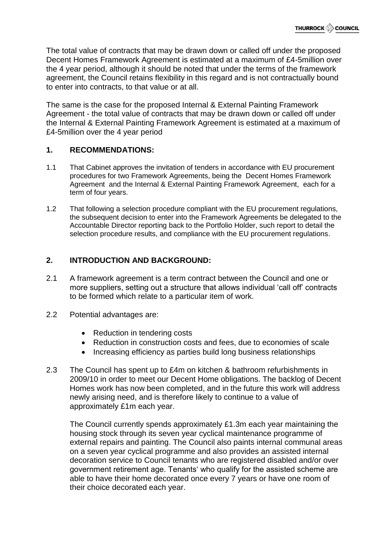The total value of contracts that may be drawn down or called off under the proposed Decent Homes Framework Agreement is estimated at a maximum of £4-5million over the 4 year period, although it should be noted that under the terms of the framework agreement, the Council retains flexibility in this regard and is not contractually bound to enter into contracts, to that value or at all.

The same is the case for the proposed Internal & External Painting Framework Agreement - the total value of contracts that may be drawn down or called off under the Internal & External Painting Framework Agreement is estimated at a maximum of £4-5million over the 4 year period

## **1. RECOMMENDATIONS:**

- 1.1 That Cabinet approves the invitation of tenders in accordance with EU procurement procedures for two Framework Agreements, being the Decent Homes Framework Agreement and the Internal & External Painting Framework Agreement, each for a term of four years.
- 1.2 That following a selection procedure compliant with the EU procurement regulations, the subsequent decision to enter into the Framework Agreements be delegated to the Accountable Director reporting back to the Portfolio Holder, such report to detail the selection procedure results, and compliance with the EU procurement regulations.

# **2. INTRODUCTION AND BACKGROUND:**

- 2.1 A framework agreement is a term contract between the Council and one or more suppliers, setting out a structure that allows individual 'call off' contracts to be formed which relate to a particular item of work.
- 2.2 Potential advantages are:
	- Reduction in tendering costs
	- Reduction in construction costs and fees, due to economies of scale
	- Increasing efficiency as parties build long business relationships
- 2.3 The Council has spent up to £4m on kitchen & bathroom refurbishments in 2009/10 in order to meet our Decent Home obligations. The backlog of Decent Homes work has now been completed, and in the future this work will address newly arising need, and is therefore likely to continue to a value of approximately £1m each year.

The Council currently spends approximately £1.3m each year maintaining the housing stock through its seven year cyclical maintenance programme of external repairs and painting. The Council also paints internal communal areas on a seven year cyclical programme and also provides an assisted internal decoration service to Council tenants who are registered disabled and/or over government retirement age. Tenants' who qualify for the assisted scheme are able to have their home decorated once every 7 years or have one room of their choice decorated each year.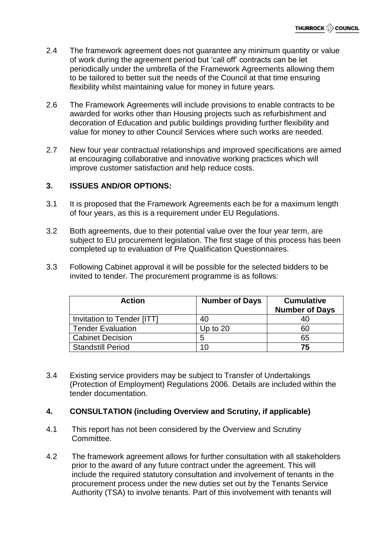- 2.4 The framework agreement does not guarantee any minimum quantity or value of work during the agreement period but 'call off' contracts can be let periodically under the umbrella of the Framework Agreements allowing them to be tailored to better suit the needs of the Council at that time ensuring flexibility whilst maintaining value for money in future years.
- 2.6 The Framework Agreements will include provisions to enable contracts to be awarded for works other than Housing projects such as refurbishment and decoration of Education and public buildings providing further flexibility and value for money to other Council Services where such works are needed.
- 2.7 New four year contractual relationships and improved specifications are aimed at encouraging collaborative and innovative working practices which will improve customer satisfaction and help reduce costs.

## **3. ISSUES AND/OR OPTIONS:**

- 3.1 It is proposed that the Framework Agreements each be for a maximum length of four years, as this is a requirement under EU Regulations.
- 3.2 Both agreements, due to their potential value over the four year term, are subject to EU procurement legislation. The first stage of this process has been completed up to evaluation of Pre Qualification Questionnaires.
- 3.3 Following Cabinet approval it will be possible for the selected bidders to be invited to tender. The procurement programme is as follows:

| <b>Action</b>              | <b>Number of Days</b> | <b>Cumulative</b><br><b>Number of Days</b> |
|----------------------------|-----------------------|--------------------------------------------|
| Invitation to Tender [ITT] | 40                    | 40                                         |
| <b>Tender Evaluation</b>   | Up to $20$            | 60                                         |
| <b>Cabinet Decision</b>    | 5                     | 65                                         |
| <b>Standstill Period</b>   | 10                    | 75                                         |

3.4 Existing service providers may be subject to Transfer of Undertakings (Protection of Employment) Regulations 2006. Details are included within the tender documentation.

# **4. CONSULTATION (including Overview and Scrutiny, if applicable)**

- 4.1 This report has not been considered by the Overview and Scrutiny Committee.
- 4.2 The framework agreement allows for further consultation with all stakeholders prior to the award of any future contract under the agreement. This will include the required statutory consultation and involvement of tenants in the procurement process under the new duties set out by the Tenants Service Authority (TSA) to involve tenants. Part of this involvement with tenants will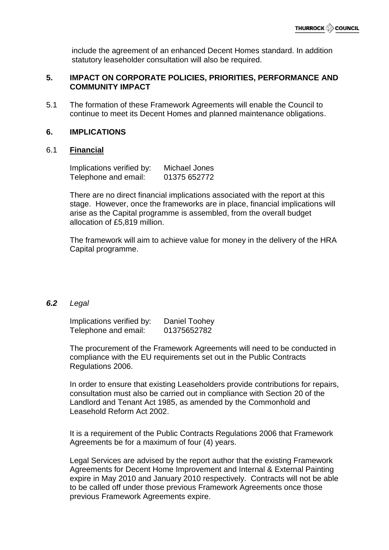include the agreement of an enhanced Decent Homes standard. In addition statutory leaseholder consultation will also be required.

# **5. IMPACT ON CORPORATE POLICIES, PRIORITIES, PERFORMANCE AND COMMUNITY IMPACT**

5.1 The formation of these Framework Agreements will enable the Council to continue to meet its Decent Homes and planned maintenance obligations.

## **6. IMPLICATIONS**

#### 6.1 **Financial**

Implications verified by: Michael Jones Telephone and email: 01375 652772

There are no direct financial implications associated with the report at this stage. However, once the frameworks are in place, financial implications will arise as the Capital programme is assembled, from the overall budget allocation of £5,819 million.

The framework will aim to achieve value for money in the delivery of the HRA Capital programme.

#### *6.2 Legal*

Implications verified by: Daniel Toohey Telephone and email: 01375652782

The procurement of the Framework Agreements will need to be conducted in compliance with the EU requirements set out in the Public Contracts Regulations 2006.

In order to ensure that existing Leaseholders provide contributions for repairs, consultation must also be carried out in compliance with Section 20 of the Landlord and Tenant Act 1985, as amended by the Commonhold and Leasehold Reform Act 2002.

It is a requirement of the Public Contracts Regulations 2006 that Framework Agreements be for a maximum of four (4) years.

Legal Services are advised by the report author that the existing Framework Agreements for Decent Home Improvement and Internal & External Painting expire in May 2010 and January 2010 respectively. Contracts will not be able to be called off under those previous Framework Agreements once those previous Framework Agreements expire.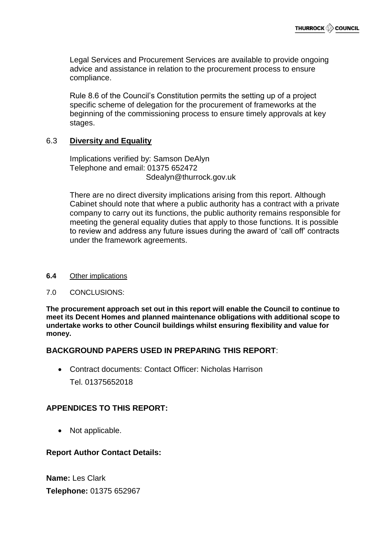Legal Services and Procurement Services are available to provide ongoing advice and assistance in relation to the procurement process to ensure compliance.

Rule 8.6 of the Council's Constitution permits the setting up of a project specific scheme of delegation for the procurement of frameworks at the beginning of the commissioning process to ensure timely approvals at key stages.

# 6.3 **Diversity and Equality**

Implications verified by: Samson DeAlyn Telephone and email: 01375 652472 Sdealyn@thurrock.gov.uk

There are no direct diversity implications arising from this report. Although Cabinet should note that where a public authority has a contract with a private company to carry out its functions, the public authority remains responsible for meeting the general equality duties that apply to those functions. It is possible to review and address any future issues during the award of 'call off' contracts under the framework agreements.

**6.4** Other implications

#### 7.0 CONCLUSIONS:

**The procurement approach set out in this report will enable the Council to continue to meet its Decent Homes and planned maintenance obligations with additional scope to undertake works to other Council buildings whilst ensuring flexibility and value for money.**

## **BACKGROUND PAPERS USED IN PREPARING THIS REPORT**:

 Contract documents: Contact Officer: Nicholas Harrison Tel. 01375652018

# **APPENDICES TO THIS REPORT:**

• Not applicable.

## **Report Author Contact Details:**

**Name:** Les Clark **Telephone:** 01375 652967